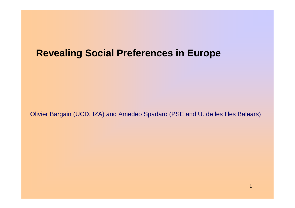### **Revealing Social Preferences in Europe**

Olivier Bargain (UCD, IZA) and Amedeo Spadaro (PSE and U. de les Illes Balears)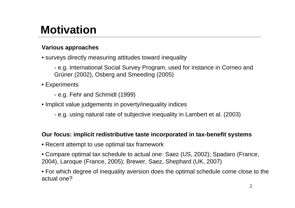# **Motivation**

#### **Various approaches**

• surveys directly measuring attitudes toward inequality

- e.g. International Social Survey Program, used for instance in Corneo and Grüner (2002), Osberg and Smeeding (2005)

- Experiments
	- e.g. Fehr and Schmidt (1999)
- Implicit value judgements in poverty/inequality indices
	- e.g. using natural rate of subjective inequality in Lambert et al. (2003)

#### **Our focus: implicit redistributive taste incorporated in tax-benefit systems**

- Recent attempt to use optimal tax framework
- Compare optimal tax schedule to actual one: Saez (US, 2002); Spadaro (France, 2004), Laroque (France, 2005); Brewer, Saez, Shephard (UK, 2007)

• For which degree of inequality aversion does the optimal schedule come close to the actual one?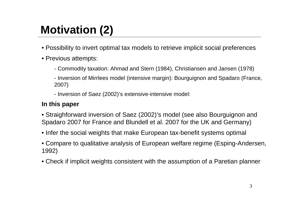# **Motivation (2)**

- Possibility to invert optimal tax models to retrieve implicit social preferences
- Previous attempts:
	- Commodity taxation: Ahmad and Stern (1984), Christiansen and Jansen (1978)
	- Inversion of Mirrlees model (intensive margin): Bourguignon and Spadaro (France, 2007)
	- Inversion of Saez (2002)'s extensive-intensive model:

#### **In this paper**

- Straighforward inversion of Saez (2002)'s model (see also Bourguignon and Spadaro 2007 for France and Blundell et al. 2007 for the UK and Germany)
- Infer the social weights that make European tax-benefit systems optimal
- Compare to qualitative analysis of European welfare regime (Esping-Andersen, 1992)
- Check if implicit weights consistent with the assumption of a Paretian planner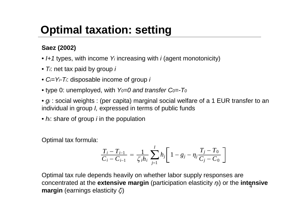# **Optimal taxation: setting**

### .**Saez (2002)**

- *I+1* types, with income *Y<sup>i</sup>* increasing with *i* (agent monotonicity)
- *Ti*: net tax paid by group *i*
- *Ci=Yi-Ti*: disposable income of group *i*
- type 0: unemployed, with *Y0=0 and transfer C0=-T<sup>0</sup>*

• *g<sup>i</sup>* : social weights : (per capita) marginal social welfare of a 1 EUR transfer to an individual in group *I,* expressed in terms of public funds

• *hi*: share of group *i* in the population

Optimal tax formula:

$$
\frac{T_i - T_{i-1}}{C_i - C_{i-1}} = \frac{1}{\zeta_i h_i} \sum_{j=1}^{I} h_j \left[ 1 - g_j - \eta_j \frac{T_j - T_0}{C_j - C_0} \right]
$$

4 concentrated at the **extensive margin** (participation elasticity *ηi*) or the **intensive** Optimal tax rule depends heavily on whether labor supply responses are **margin** (earnings elasticity *ζi*)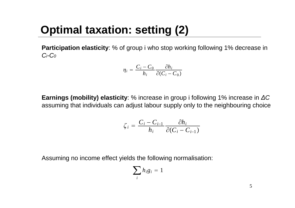# **Optimal taxation: setting (2)**

**Participation elasticity**: % of group i who stop working following 1% decrease in *Ci-C<sup>0</sup>*

$$
\eta_i = \frac{C_i - C_0}{h_i} \frac{\partial h_i}{\partial (C_i - C_0)}
$$

**Earnings (mobility) elasticity**: % increase in group i following 1% increase in *ΔC* assuming that individuals can adjust labour supply only to the neighbouring choice

$$
\zeta_i = \frac{C_i - C_{i-1}}{h_i} \frac{\partial h_i}{\partial (C_i - C_{i-1})}
$$

Assuming no income effect yields the following normalisation:

$$
\sum_i h_i g_i = 1
$$

5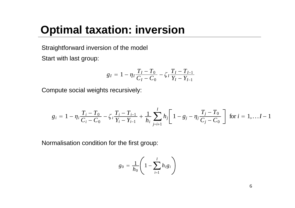### **Optimal taxation: inversion**

.Straightforward inversion of the model

Start with last group:

$$
g_I = 1 - \eta_I \frac{T_I - T_0}{C_I - C_0} - \zeta_I \frac{T_I - T_{I-1}}{Y_I - Y_{I-1}}
$$

Compute social weights recursively:

$$
g_i = 1 - \eta_i \frac{T_i - T_0}{C_i - C_0} - \zeta_i \frac{T_i - T_{i-1}}{Y_i - Y_{i-1}} + \frac{1}{h_i} \sum_{j=i+1}^{I} h_j \left[ 1 - g_j - \eta_j \frac{T_j - T_0}{C_j - C_0} \right] \text{ for } i = 1, \dots, I-1
$$

Normalisation condition for the first group:

$$
g_0 = \frac{1}{h_0} \left( 1 - \sum_{i=1}^{I} h_i g_i \right)
$$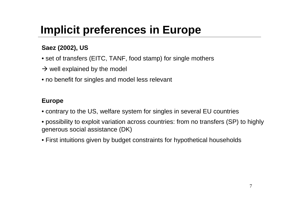# **Implicit preferences in Europe**

### .**Saez (2002), US**

- set of transfers (EITC, TANF, food stamp) for single mothers
- $\rightarrow$  well explained by the model
- no benefit for singles and model less relevant

### **Europe**

- contrary to the US, welfare system for singles in several EU countries
- possibility to exploit variation across countries: from no transfers (SP) to highly generous social assistance (DK)
- First intuitions given by budget constraints for hypothetical households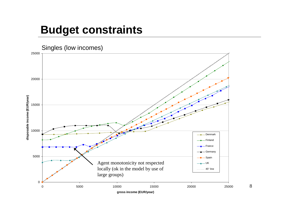### **Budget constraints**



8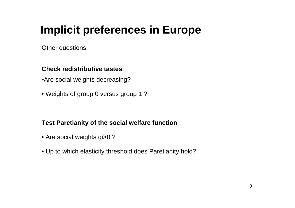# **Implicit preferences in Europe**

.Other questions:

### **Check redistributive tastes**:

•Are social weights decreasing?

• Weights of group 0 versus group 1 ?

### **Test Paretianity of the social welfare function**

- Are social weights gi>0 ?
- Up to which elasticity threshold does Paretianity hold?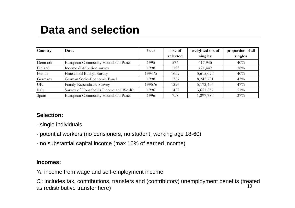## **Data and selection**

| <b>Country</b> | Data                                   | Year   | size of<br>selected | weighted no. of<br>singles | proportion of all<br>singles |
|----------------|----------------------------------------|--------|---------------------|----------------------------|------------------------------|
| Denmark        | European Community Household Panel     | 1995   | 574                 | 417,945                    | 40%                          |
| Finland        | Income distribution survey             | 1998   | 1193                | 421,447                    | 38%                          |
| France         | Household Budget Survey                | 1994/5 | 1639                | 3,615,095                  | 40%                          |
| Germany        | German Socio-Economic Panel            | 1998   | 1387                | 8,242,791                  | 43%                          |
| UK             | Family Expenditure Survey              | 1995/6 | 1227                | 5,172,454                  | 47%                          |
| Italy          | Survey of Households Income and Wealth | 1996   | 1482                | 3,651,857                  | 51%                          |
| Spain          | European Community Household Panel     | 1996   | 738                 | 1,297,780                  | 37%                          |

#### **Selection:**

- single individuals
- potential workers (no pensioners, no student, working age 18-60)
- no substantial capital income (max 10% of earned income)

#### **Incomes:**

*Yi*: income from wage and self-employment income

10 *Ci*: includes tax, contributions, transfers and (contributory) unemployment benefits (treated as redistributive transfer here)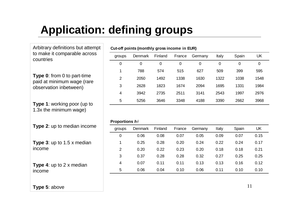# **Application: defining groups**

Arbitrary definitions but attempt to make it comparable across countries

**Type 0**: from 0 to part-time paid at minimum wage (rare observation inbetween)

**Type 1**: working poor (up to 1.3x the minimum wage)

| groups         | <b>Denmark</b> | Finland | France | Germany | <b>Italy</b> | Spain | UK   |
|----------------|----------------|---------|--------|---------|--------------|-------|------|
| 0              | 0              | 0       | 0      | 0       | 0            | 0     | 0    |
|                | 788            | 574     | 515    | 627     | 509          | 399   | 595  |
| $\overline{2}$ | 2050           | 1492    | 1338   | 1630    | 1322         | 1038  | 1548 |
| 3              | 2628           | 1823    | 1674   | 2094    | 1695         | 1331  | 1984 |
| 4              | 3942           | 2735    | 2511   | 3141    | 2543         | 1997  | 2976 |
| 5              | 5256           | 3646    | 3348   | 4188    | 3390         | 2662  | 3968 |

| Proportions <i>hi</i> |  |
|-----------------------|--|
|                       |  |

| <b>Type 2:</b> up to median income       | groups         | Denmark | Finland | France | Germany | Italy | Spain | UK   |
|------------------------------------------|----------------|---------|---------|--------|---------|-------|-------|------|
|                                          | 0              | 0.06    | 0.08    | 0.07   | 0.05    | 0.09  | 0.07  | 0.15 |
| <b>Type 3:</b> up to $1.5 \times$ median |                | 0.25    | 0.28    | 0.20   | 0.24    | 0.22  | 0.24  | 0.17 |
| income                                   | $\overline{2}$ | 0.20    | 0.22    | 0.23   | 0.20    | 0.18  | 0.18  | 0.21 |
|                                          | 3              | 0.37    | 0.28    | 0.28   | 0.32    | 0.27  | 0.25  | 0.25 |
| <b>Type 4:</b> up to $2 \times$ median   | 4              | 0.07    | 0.11    | 0.11   | 0.13    | 0.13  | 0.16  | 0.12 |
| income                                   | 5              | 0.06    | 0.04    | 0.10   | 0.06    | 0.11  | 0.10  | 0.10 |
|                                          |                |         |         |        |         |       |       |      |

**Cut-off points (monthly gross income in EUR)**

#### **Type 5**: above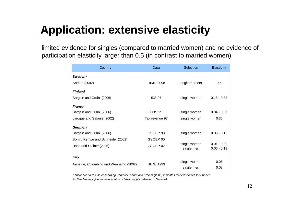# **Application: extensive elasticity**

limited evidence for singles (compared to married women) and no evidence of participation elasticity larger than 0.5 (in contrast to married women)

| Country                               | Data              | Selection                  | Elasticity                     |
|---------------------------------------|-------------------|----------------------------|--------------------------------|
| Sweden*                               |                   |                            |                                |
| Andren (2002)                         | <b>HINK 97-98</b> | single mothers             | 0.5                            |
| <b>Finland</b>                        |                   |                            |                                |
| Bargain and Orsini (2006)             | IDS 97            | single women               | $0.18 - 0.33$                  |
| <b>France</b>                         |                   |                            |                                |
| Bargain and Orsini (2006)             | <b>HBS 95</b>     | single women               | $0.04 - 0.07$                  |
| Laroque and Salanie (2002)            | Tax revenue 97    | single women               | 0.36                           |
| Germany                               |                   |                            |                                |
| Bargain and Orsini (2006)             | GSOEP 98          | single women               | $0.08 - 0.15$                  |
| Bonin, Kempe and Schneider (2002)     | GSOEP 00          |                            |                                |
| Haan and Steiner (2005)               | GSOEP 02          | single women<br>single men | $0.01 - 0.09$<br>$0.06 - 0.19$ |
| <b>Italy</b>                          |                   |                            |                                |
| Aaberge, Colombino and Wennemo (2002) | <b>SHIW 1993</b>  | single women               | 0.06                           |
|                                       |                   | single men                 | 0.08                           |

*\* There are no results concerning Denmark. Leven and Kreiner (2005) indicates that elasticities for Sweden*

*for Sweden may give some indication of labor supply behavior in Denmark*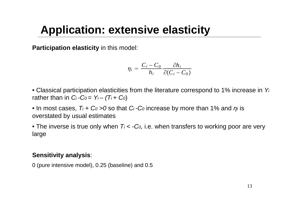## **Application: extensive elasticity**

**Participation elasticity** in this model:

$$
\eta_i = \frac{C_i - C_0}{h_i} \frac{\partial h_i}{\partial (C_i - C_0)}
$$

- Classical participation elasticities from the literature correspond to 1% increase in *Y<sup>i</sup>* rather than in  $Ci -Co = Y_i - (T_i + Co)$
- In most cases, *T<sup>i</sup> + C<sup>0</sup> >0* so that *C<sup>i</sup> -C<sup>0</sup>* increase by more than 1% and *ηi* is overstated by usual estimates
- The inverse is true only when  $T_i < -C_0$ , i.e. when transfers to working poor are very large

#### **Sensitivity analysis**:

0 (pure intensive model), 0.25 (baseline) and 0.5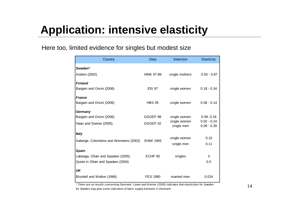# **Application: intensive elasticity**

#### Here too, limited evidence for singles but modest size

| Country                               | Data               | Selection                  | Elasticity                     |
|---------------------------------------|--------------------|----------------------------|--------------------------------|
| Sweden*                               |                    |                            |                                |
| Andren (2002)                         | <b>HINK 97-98</b>  | single mothers             | $0.55 - 0.87$                  |
| <b>Finland</b>                        |                    |                            |                                |
| Bargain and Orsini (2006)             | IDS 97             | single women               | $0.18 - 0.34$                  |
| <b>France</b>                         |                    |                            |                                |
| Bargain and Orsini (2006)             | <b>HBS 95</b>      | single women               | $0.08 - 0.14$                  |
| Germany                               |                    |                            |                                |
| Bargain and Orsini (2006)             | GSOEP 98           | single women               | 0.09; 0.18                     |
| Haan and Steiner (2005)               | GSOEP 02           | single women<br>single men | $0.02 - 0.24$<br>$0.09 - 0.28$ |
| <b>Italy</b>                          |                    |                            |                                |
| Aaberge, Colombino and Wennemo (2002) | <b>SHIW 1993</b>   | single women               | 0.10                           |
|                                       |                    | single men                 | 0.11                           |
| <b>Spain</b>                          |                    |                            |                                |
| Labeaga, Oliver and Spadaro (2005)    | ECHP <sub>95</sub> | singles                    | 0                              |
| Quote in Oliver and Spadaro (2004)    |                    |                            | 0.5                            |
| UK                                    |                    |                            |                                |
| Blundell and Walker (1986)            | <b>FES 1980</b>    | married men                | 0.024                          |

*\* There are no results concerning Denmark. Leven and Kreiner (2005) indicates that elasticities for Sweden*

*for Sweden may give some indication of labor supply behavior in Denmark*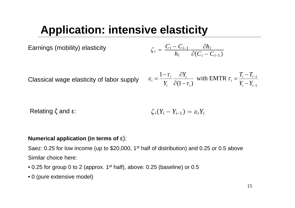# **Application: intensive elasticity**

Examples (mobility) elasticity

\n
$$
\zeta_i = \frac{C_i - C_{i-1}}{h_i} \frac{\partial h_i}{\partial (C_i - C_{i-1})}
$$

Classical wage elasticity of labor supply

$$
\varepsilon_i = \frac{1 - \tau_i}{Y_i} \frac{\partial Y_i}{\partial (1 - \tau_i)} \text{ with EMTR } \tau_i = \frac{T_i - T_{i-1}}{Y_i - Y_{i-1}}
$$

Relating 
$$
\zeta
$$
 and  $\varepsilon$ :  $\zeta_i(Y_i - Y_{i-1}) = \varepsilon_i Y_i$ 

#### **Numerical application (in terms of** ε):

Saez: 0.25 for low income (up to \$20,000, 1<sup>st</sup> half of distribution) and 0.25 or 0.5 above Similar choice here:

- 0.25 for group 0 to 2 (approx. 1<sup>st</sup> half), above: 0.25 (baseline) or 0.5
- 0 (pure extensive model)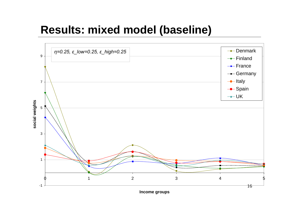### **Results: mixed model (baseline)**

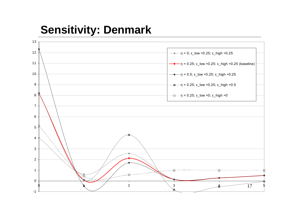## **Sensitivity: Denmark**

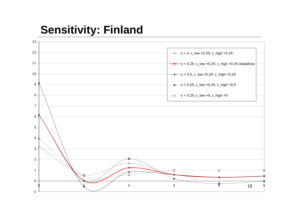## **Sensitivity: Finland**

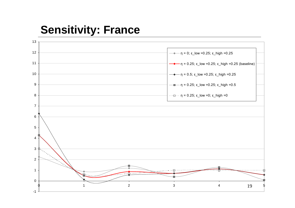### **Sensitivity: France**

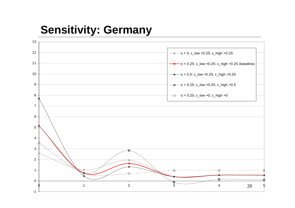# **Sensitivity: Germany**

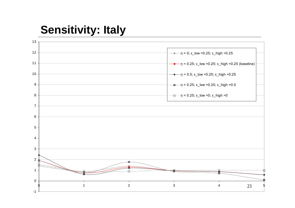## **Sensitivity: Italy**

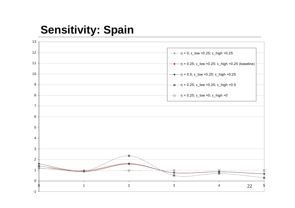## **Sensitivity: Spain**

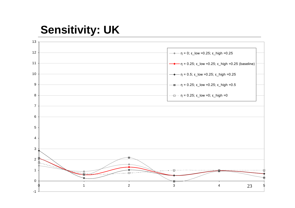# **Sensitivity: UK**

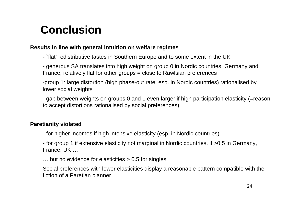## **Conclusion**

#### **Results in line with general intuition on welfare regimes**

- `flat' redistributive tastes in Southern Europe and to some extent in the UK

- generous SA translates into high weight on group 0 in Nordic countries, Germany and France; relatively flat for other groups = close to Rawlsian preferences

-group 1: large distortion (high phase-out rate, esp. in Nordic countries) rationalised by lower social weights

- gap between weights on groups 0 and 1 even larger if high participation elasticity (=reason to accept distortions rationalised by social preferences)

#### **Paretianity violated**

- for higher incomes if high intensive elasticity (esp. in Nordic countries)

- for group 1 if extensive elasticity not marginal in Nordic countries, if >0.5 in Germany, France, UK …

… but no evidence for elasticities > 0.5 for singles

Social preferences with lower elasticities display a reasonable pattern compatible with the fiction of a Paretian planner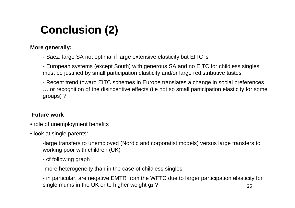# **Conclusion (2)**

#### **More generally:**

- Saez: large SA not optimal if large extensive elasticity but EITC is
- European systems (except South) with generous SA and no EITC for childless singles must be justified by small participation elasticity and/or large redistributive tastes
- Recent trend toward EITC schemes in Europe translates a change in social preferences … or recognition of the disincentive effects (i.e not so small participation elasticity for some groups) ?

#### **Future work**

- role of unemployment benefits
- look at single parents:
	- -large transfers to unemployed (Nordic and corporatist models) versus large transfers to working poor with children (UK)
	- cf following graph
	- -more heterogeneity than in the case of childless singles

25 - in particular, are negative EMTR from the WFTC due to larger participation elasticity for single mums in the UK or to higher weight g1?